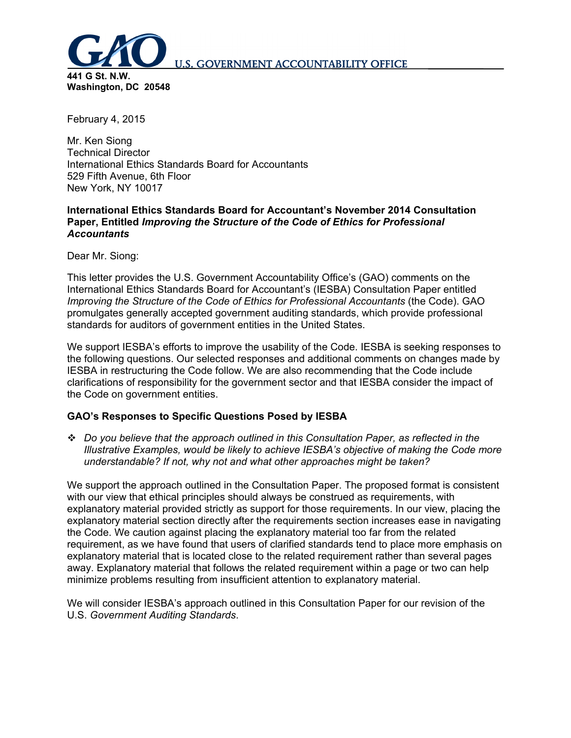

February 4, 2015

Mr. Ken Siong Technical Director International Ethics Standards Board for Accountants 529 Fifth Avenue, 6th Floor New York, NY 10017

## **International Ethics Standards Board for Accountant's November 2014 Consultation Paper, Entitled** *Improving the Structure of the Code of Ethics for Professional Accountants*

Dear Mr. Siong:

This letter provides the U.S. Government Accountability Office's (GAO) comments on the International Ethics Standards Board for Accountant's (IESBA) Consultation Paper entitled *Improving the Structure of the Code of Ethics for Professional Accountants* (the Code). GAO promulgates generally accepted government auditing standards, which provide professional standards for auditors of government entities in the United States.

We support IESBA's efforts to improve the usability of the Code. IESBA is seeking responses to the following questions. Our selected responses and additional comments on changes made by IESBA in restructuring the Code follow. We are also recommending that the Code include clarifications of responsibility for the government sector and that IESBA consider the impact of the Code on government entities.

## **GAO's Responses to Specific Questions Posed by IESBA**

 *Do you believe that the approach outlined in this Consultation Paper, as reflected in the Illustrative Examples, would be likely to achieve IESBA's objective of making the Code more understandable? If not, why not and what other approaches might be taken?* 

We support the approach outlined in the Consultation Paper. The proposed format is consistent with our view that ethical principles should always be construed as requirements, with explanatory material provided strictly as support for those requirements. In our view, placing the explanatory material section directly after the requirements section increases ease in navigating the Code. We caution against placing the explanatory material too far from the related requirement, as we have found that users of clarified standards tend to place more emphasis on explanatory material that is located close to the related requirement rather than several pages away. Explanatory material that follows the related requirement within a page or two can help minimize problems resulting from insufficient attention to explanatory material.

We will consider IESBA's approach outlined in this Consultation Paper for our revision of the U.S. *Government Auditing Standards*.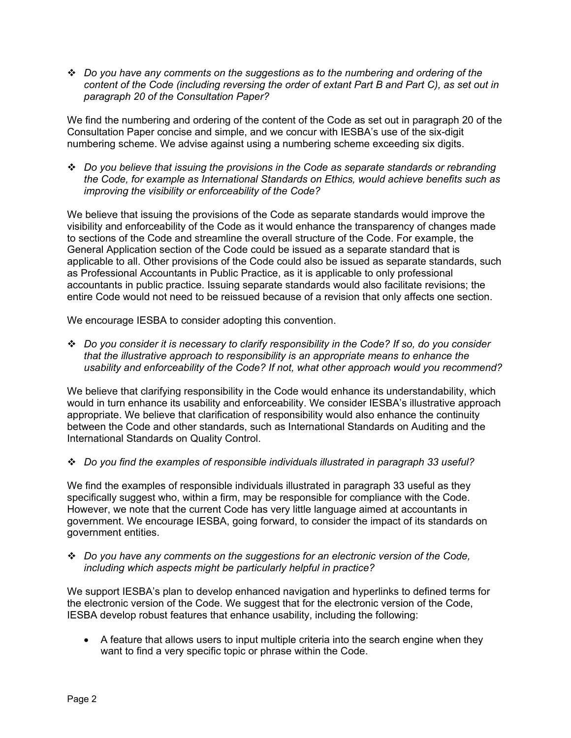*Do you have any comments on the suggestions as to the numbering and ordering of the content of the Code (including reversing the order of extant Part B and Part C), as set out in paragraph 20 of the Consultation Paper?* 

We find the numbering and ordering of the content of the Code as set out in paragraph 20 of the Consultation Paper concise and simple, and we concur with IESBA's use of the six-digit numbering scheme. We advise against using a numbering scheme exceeding six digits.

 *Do you believe that issuing the provisions in the Code as separate standards or rebranding the Code, for example as International Standards on Ethics, would achieve benefits such as improving the visibility or enforceability of the Code?* 

We believe that issuing the provisions of the Code as separate standards would improve the visibility and enforceability of the Code as it would enhance the transparency of changes made to sections of the Code and streamline the overall structure of the Code. For example, the General Application section of the Code could be issued as a separate standard that is applicable to all. Other provisions of the Code could also be issued as separate standards, such as Professional Accountants in Public Practice, as it is applicable to only professional accountants in public practice. Issuing separate standards would also facilitate revisions; the entire Code would not need to be reissued because of a revision that only affects one section.

We encourage IESBA to consider adopting this convention.

 *Do you consider it is necessary to clarify responsibility in the Code? If so, do you consider that the illustrative approach to responsibility is an appropriate means to enhance the usability and enforceability of the Code? If not, what other approach would you recommend?* 

We believe that clarifying responsibility in the Code would enhance its understandability, which would in turn enhance its usability and enforceability. We consider IESBA's illustrative approach appropriate. We believe that clarification of responsibility would also enhance the continuity between the Code and other standards, such as International Standards on Auditing and the International Standards on Quality Control.

## *Do you find the examples of responsible individuals illustrated in paragraph 33 useful?*

We find the examples of responsible individuals illustrated in paragraph 33 useful as they specifically suggest who, within a firm, may be responsible for compliance with the Code. However, we note that the current Code has very little language aimed at accountants in government. We encourage IESBA, going forward, to consider the impact of its standards on government entities.

 *Do you have any comments on the suggestions for an electronic version of the Code, including which aspects might be particularly helpful in practice?* 

We support IESBA's plan to develop enhanced navigation and hyperlinks to defined terms for the electronic version of the Code. We suggest that for the electronic version of the Code, IESBA develop robust features that enhance usability, including the following:

 A feature that allows users to input multiple criteria into the search engine when they want to find a very specific topic or phrase within the Code.